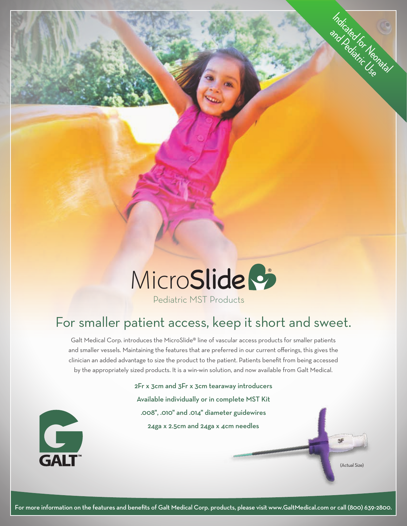

# Pediatric MST Products

# For smaller patient access, keep it short and sweet.

Galt Medical Corp. introduces the MicroSlide® line of vascular access products for smaller patients and smaller vessels. Maintaining the features that are preferred in our current offerings, this gives the clinician an added advantage to size the product to the patient. Patients benefit from being accessed by the appropriately sized products. It is a win-win solution, and now available from Galt Medical.

> 2Fr x 3cm and 3Fr x 3cm tearaway introducers Available individually or in complete MST Kit .008", .010" and .014" diameter guidewires 24ga x 2.5cm and 24ga x 4cm needles



(Actual Size)

SF

Indicated for Neonatal